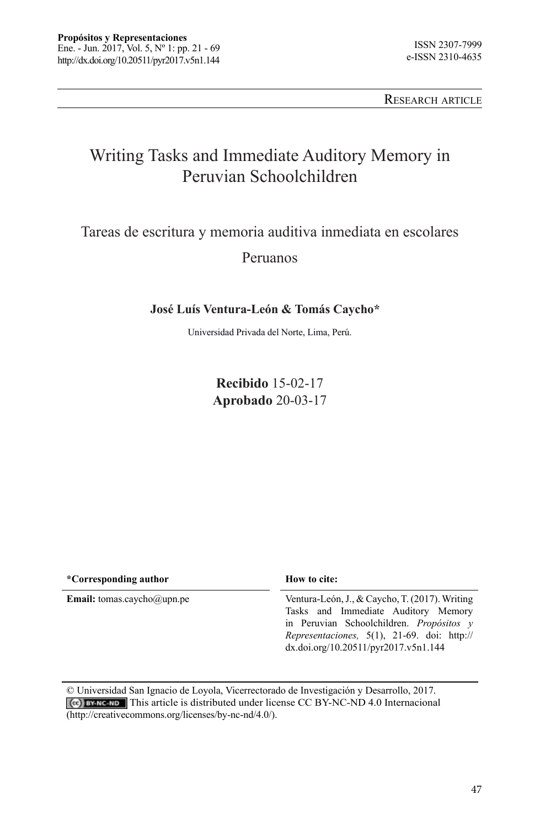Research article

# Writing Tasks and Immediate Auditory Memory in Peruvian Schoolchildren

Tareas de escritura y memoria auditiva inmediata en escolares Peruanos

# **José Luís Ventura-León & Tomás Caycho\***

Universidad Privada del Norte, Lima, Perú.

**Recibido** 15-02-17 **Aprobado** 20-03-17

**\*Corresponding author How to cite:**

**Email:**  $t$ omas.caycho@upn.pe Ventura-León, J., & Caycho, T. (2017). Writing Tasks and Immediate Auditory Memory in Peruvian Schoolchildren. *Propósitos y Representaciones,* 5(1), 21-69. doi: http:// dx.doi.org/10.20511/pyr2017.v5n1.144

<sup>©</sup> Universidad San Ignacio de Loyola, Vicerrectorado de Investigación y Desarrollo, 2017.  $(\epsilon_{c})$  **EY-NC-ND** This article is distributed under license CC BY-NC-ND 4.0 Internacional (http://creativecommons.org/licenses/by-nc-nd/4.0/).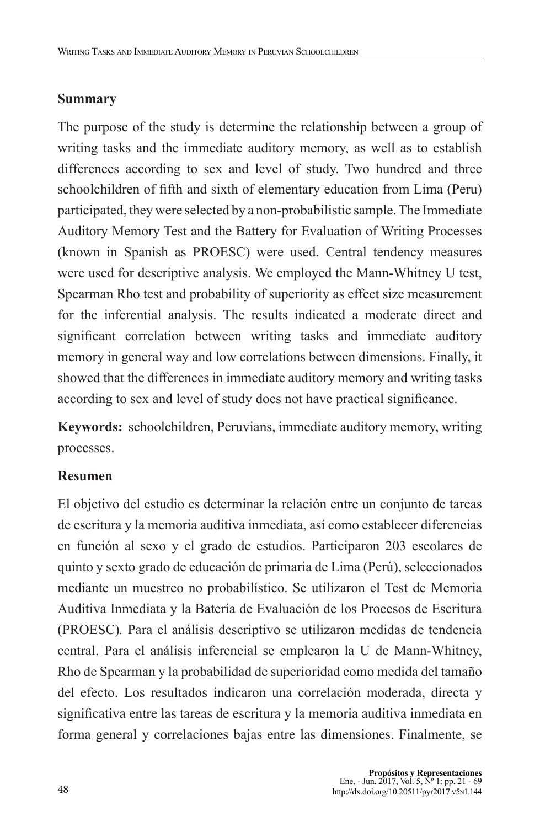#### **Summary**

The purpose of the study is determine the relationship between a group of writing tasks and the immediate auditory memory, as well as to establish differences according to sex and level of study. Two hundred and three schoolchildren of fifth and sixth of elementary education from Lima (Peru) participated, they were selected by a non-probabilistic sample. The Immediate Auditory Memory Test and the Battery for Evaluation of Writing Processes (known in Spanish as PROESC) were used. Central tendency measures were used for descriptive analysis. We employed the Mann-Whitney U test, Spearman Rho test and probability of superiority as effect size measurement for the inferential analysis. The results indicated a moderate direct and significant correlation between writing tasks and immediate auditory memory in general way and low correlations between dimensions. Finally, it showed that the differences in immediate auditory memory and writing tasks according to sex and level of study does not have practical significance.

**Keywords:** schoolchildren, Peruvians, immediate auditory memory, writing processes.

# **Resumen**

El objetivo del estudio es determinar la relación entre un conjunto de tareas de escritura y la memoria auditiva inmediata, así como establecer diferencias en función al sexo y el grado de estudios. Participaron 203 escolares de quinto y sexto grado de educación de primaria de Lima (Perú), seleccionados mediante un muestreo no probabilístico. Se utilizaron el Test de Memoria Auditiva Inmediata y la Batería de Evaluación de los Procesos de Escritura (PROESC)*.* Para el análisis descriptivo se utilizaron medidas de tendencia central. Para el análisis inferencial se emplearon la U de Mann-Whitney, Rho de Spearman y la probabilidad de superioridad como medida del tamaño del efecto. Los resultados indicaron una correlación moderada, directa y significativa entre las tareas de escritura y la memoria auditiva inmediata en forma general y correlaciones bajas entre las dimensiones. Finalmente, se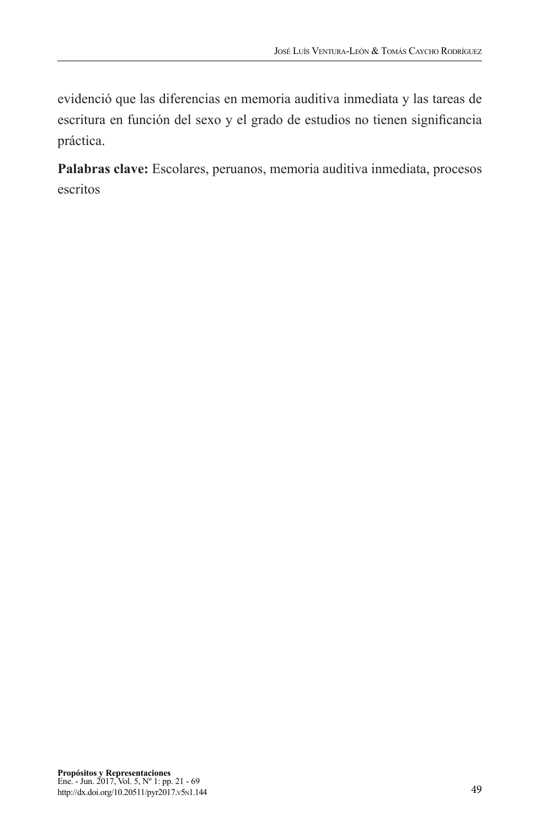evidenció que las diferencias en memoria auditiva inmediata y las tareas de escritura en función del sexo y el grado de estudios no tienen significancia práctica.

**Palabras clave:** Escolares, peruanos, memoria auditiva inmediata, procesos escritos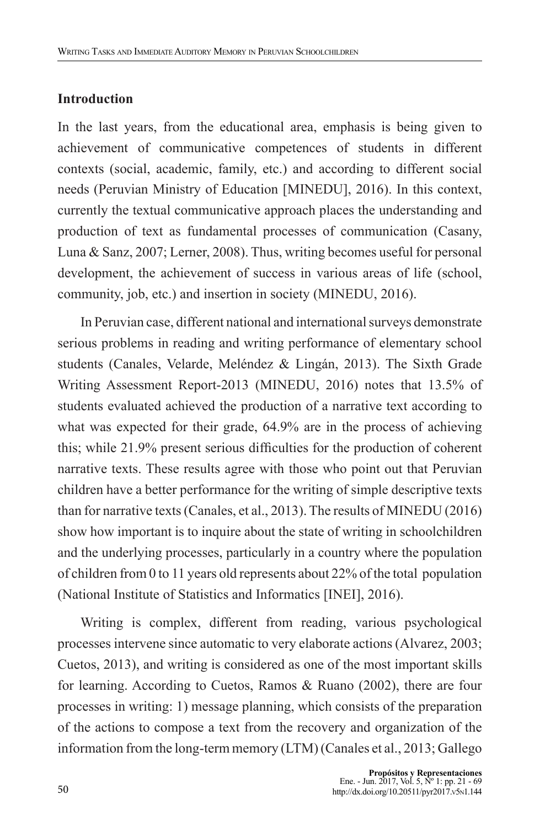#### **Introduction**

In the last years, from the educational area, emphasis is being given to achievement of communicative competences of students in different contexts (social, academic, family, etc.) and according to different social needs (Peruvian Ministry of Education [MINEDU], 2016). In this context, currently the textual communicative approach places the understanding and production of text as fundamental processes of communication (Casany, Luna & Sanz, 2007; Lerner, 2008). Thus, writing becomes useful for personal development, the achievement of success in various areas of life (school, community, job, etc.) and insertion in society (MINEDU, 2016).

In Peruvian case, different national and international surveys demonstrate serious problems in reading and writing performance of elementary school students (Canales, Velarde, Meléndez & Lingán, 2013). The Sixth Grade Writing Assessment Report-2013 (MINEDU, 2016) notes that 13.5% of students evaluated achieved the production of a narrative text according to what was expected for their grade, 64.9% are in the process of achieving this; while 21.9% present serious difficulties for the production of coherent narrative texts. These results agree with those who point out that Peruvian children have a better performance for the writing of simple descriptive texts than for narrative texts (Canales, et al., 2013). The results of MINEDU (2016) show how important is to inquire about the state of writing in schoolchildren and the underlying processes, particularly in a country where the population of children from 0 to 11 years old represents about 22% of the total population (National Institute of Statistics and Informatics [INEI], 2016).

Writing is complex, different from reading, various psychological processes intervene since automatic to very elaborate actions (Alvarez, 2003; Cuetos, 2013), and writing is considered as one of the most important skills for learning. According to Cuetos, Ramos & Ruano (2002), there are four processes in writing: 1) message planning, which consists of the preparation of the actions to compose a text from the recovery and organization of the information from the long-term memory (LTM) (Canales et al., 2013; Gallego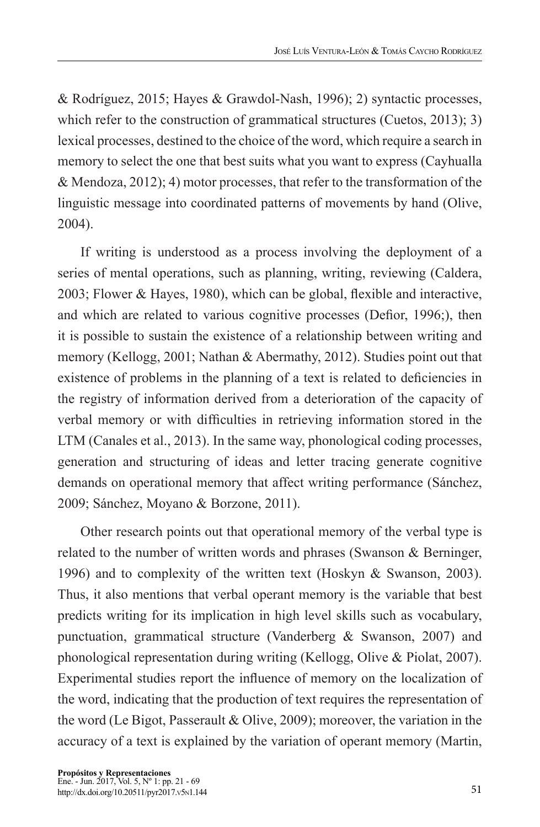& Rodríguez, 2015; Hayes & Grawdol-Nash, 1996); 2) syntactic processes, which refer to the construction of grammatical structures (Cuetos, 2013); 3) lexical processes, destined to the choice of the word, which require a search in memory to select the one that best suits what you want to express (Cayhualla & Mendoza, 2012); 4) motor processes, that refer to the transformation of the linguistic message into coordinated patterns of movements by hand (Olive, 2004).

If writing is understood as a process involving the deployment of a series of mental operations, such as planning, writing, reviewing (Caldera, 2003; Flower & Hayes, 1980), which can be global, flexible and interactive, and which are related to various cognitive processes (Defior, 1996;), then it is possible to sustain the existence of a relationship between writing and memory (Kellogg, 2001; Nathan & Abermathy, 2012). Studies point out that existence of problems in the planning of a text is related to deficiencies in the registry of information derived from a deterioration of the capacity of verbal memory or with difficulties in retrieving information stored in the LTM (Canales et al., 2013). In the same way, phonological coding processes, generation and structuring of ideas and letter tracing generate cognitive demands on operational memory that affect writing performance (Sánchez, 2009; Sánchez, Moyano & Borzone, 2011).

Other research points out that operational memory of the verbal type is related to the number of written words and phrases (Swanson & Berninger, 1996) and to complexity of the written text (Hoskyn & Swanson, 2003). Thus, it also mentions that verbal operant memory is the variable that best predicts writing for its implication in high level skills such as vocabulary, punctuation, grammatical structure (Vanderberg & Swanson, 2007) and phonological representation during writing (Kellogg, Olive & Piolat, 2007). Experimental studies report the influence of memory on the localization of the word, indicating that the production of text requires the representation of the word (Le Bigot, Passerault & Olive, 2009); moreover, the variation in the accuracy of a text is explained by the variation of operant memory (Martin,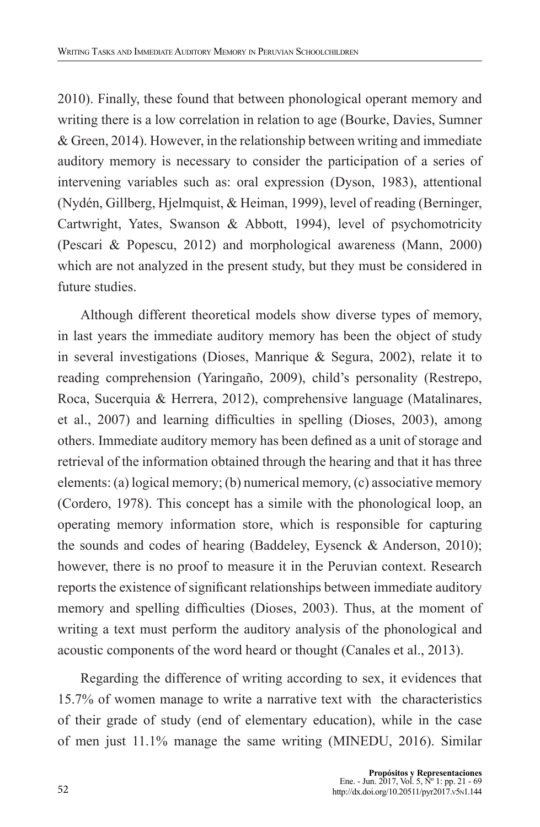2010). Finally, these found that between phonological operant memory and writing there is a low correlation in relation to age (Bourke, Davies, Sumner & Green, 2014). However, in the relationship between writing and immediate auditory memory is necessary to consider the participation of a series of intervening variables such as: oral expression (Dyson, 1983), attentional (Nydén, Gillberg, Hjelmquist, & Heiman, 1999), level of reading (Berninger, Cartwright, Yates, Swanson & Abbott, 1994), level of psychomotricity (Pescari & Popescu, 2012) and morphological awareness (Mann, 2000) which are not analyzed in the present study, but they must be considered in future studies.

Although different theoretical models show diverse types of memory, in last years the immediate auditory memory has been the object of study in several investigations (Dioses, Manrique & Segura, 2002), relate it to reading comprehension (Yaringaño, 2009), child's personality (Restrepo, Roca, Sucerquia & Herrera, 2012), comprehensive language (Matalinares, et al., 2007) and learning difficulties in spelling (Dioses, 2003), among others. Immediate auditory memory has been defined as a unit of storage and retrieval of the information obtained through the hearing and that it has three elements: (a) logical memory; (b) numerical memory, (c) associative memory (Cordero, 1978). This concept has a simile with the phonological loop, an operating memory information store, which is responsible for capturing the sounds and codes of hearing (Baddeley, Eysenck & Anderson, 2010); however, there is no proof to measure it in the Peruvian context. Research reports the existence of significant relationships between immediate auditory memory and spelling difficulties (Dioses, 2003). Thus, at the moment of writing a text must perform the auditory analysis of the phonological and acoustic components of the word heard or thought (Canales et al., 2013).

Regarding the difference of writing according to sex, it evidences that 15.7% of women manage to write a narrative text with the characteristics of their grade of study (end of elementary education), while in the case of men just 11.1% manage the same writing (MINEDU, 2016). Similar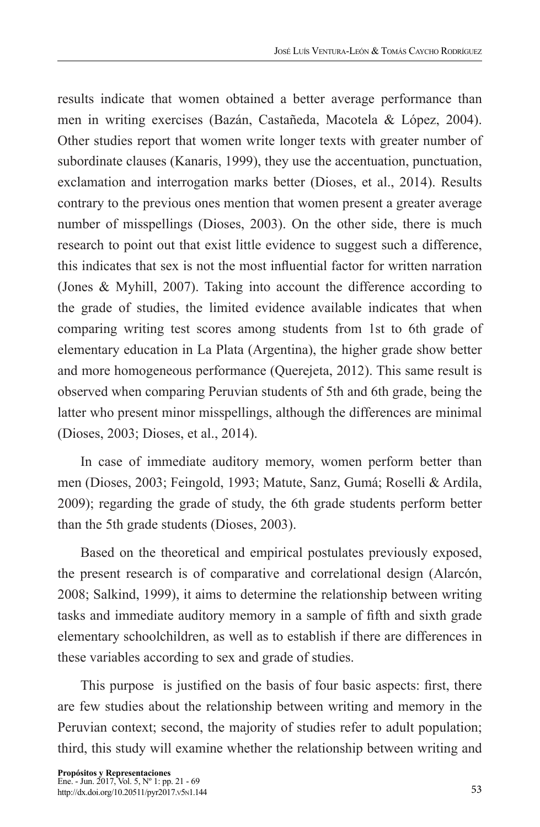results indicate that women obtained a better average performance than men in writing exercises (Bazán, Castañeda, Macotela & López, 2004). Other studies report that women write longer texts with greater number of subordinate clauses (Kanaris, 1999), they use the accentuation, punctuation, exclamation and interrogation marks better (Dioses, et al., 2014). Results contrary to the previous ones mention that women present a greater average number of misspellings (Dioses, 2003). On the other side, there is much research to point out that exist little evidence to suggest such a difference, this indicates that sex is not the most influential factor for written narration (Jones & Myhill, 2007). Taking into account the difference according to the grade of studies, the limited evidence available indicates that when comparing writing test scores among students from 1st to 6th grade of elementary education in La Plata (Argentina), the higher grade show better and more homogeneous performance (Querejeta, 2012). This same result is observed when comparing Peruvian students of 5th and 6th grade, being the latter who present minor misspellings, although the differences are minimal (Dioses, 2003; Dioses, et al., 2014).

In case of immediate auditory memory, women perform better than men (Dioses, 2003; Feingold, 1993; Matute, Sanz, Gumá; Roselli & Ardila, 2009); regarding the grade of study, the 6th grade students perform better than the 5th grade students (Dioses, 2003).

Based on the theoretical and empirical postulates previously exposed, the present research is of comparative and correlational design (Alarcón, 2008; Salkind, 1999), it aims to determine the relationship between writing tasks and immediate auditory memory in a sample of fifth and sixth grade elementary schoolchildren, as well as to establish if there are differences in these variables according to sex and grade of studies.

This purpose is justified on the basis of four basic aspects: first, there are few studies about the relationship between writing and memory in the Peruvian context; second, the majority of studies refer to adult population; third, this study will examine whether the relationship between writing and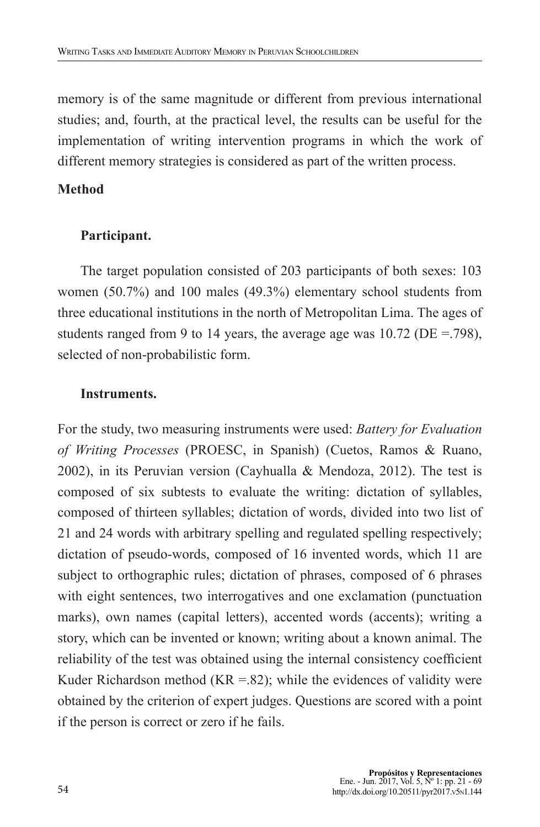memory is of the same magnitude or different from previous international studies; and, fourth, at the practical level, the results can be useful for the implementation of writing intervention programs in which the work of different memory strategies is considered as part of the written process.

# **Method**

# **Participant.**

The target population consisted of 203 participants of both sexes: 103 women (50.7%) and 100 males (49.3%) elementary school students from three educational institutions in the north of Metropolitan Lima. The ages of students ranged from 9 to 14 years, the average age was  $10.72$  (DE = .798), selected of non-probabilistic form.

# **Instruments.**

For the study, two measuring instruments were used: *Battery for Evaluation of Writing Processes* (PROESC, in Spanish) (Cuetos, Ramos & Ruano, 2002), in its Peruvian version (Cayhualla & Mendoza, 2012). The test is composed of six subtests to evaluate the writing: dictation of syllables, composed of thirteen syllables; dictation of words, divided into two list of 21 and 24 words with arbitrary spelling and regulated spelling respectively; dictation of pseudo-words, composed of 16 invented words, which 11 are subject to orthographic rules; dictation of phrases, composed of 6 phrases with eight sentences, two interrogatives and one exclamation (punctuation marks), own names (capital letters), accented words (accents); writing a story, which can be invented or known; writing about a known animal. The reliability of the test was obtained using the internal consistency coefficient Kuder Richardson method  $(KR = .82)$ ; while the evidences of validity were obtained by the criterion of expert judges. Questions are scored with a point if the person is correct or zero if he fails.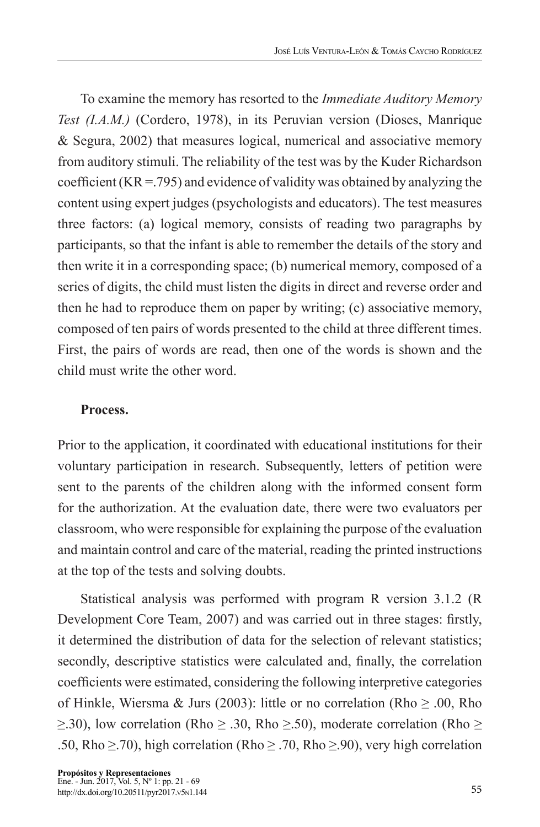To examine the memory has resorted to the *Immediate Auditory Memory Test (I.A.M.)* (Cordero, 1978), in its Peruvian version (Dioses, Manrique & Segura, 2002) that measures logical, numerical and associative memory from auditory stimuli. The reliability of the test was by the Kuder Richardson coefficient ( $KR = .795$ ) and evidence of validity was obtained by analyzing the content using expert judges (psychologists and educators). The test measures three factors: (a) logical memory, consists of reading two paragraphs by participants, so that the infant is able to remember the details of the story and then write it in a corresponding space; (b) numerical memory, composed of a series of digits, the child must listen the digits in direct and reverse order and then he had to reproduce them on paper by writing; (c) associative memory, composed of ten pairs of words presented to the child at three different times. First, the pairs of words are read, then one of the words is shown and the child must write the other word.

# **Process.**

Prior to the application, it coordinated with educational institutions for their voluntary participation in research. Subsequently, letters of petition were sent to the parents of the children along with the informed consent form for the authorization. At the evaluation date, there were two evaluators per classroom, who were responsible for explaining the purpose of the evaluation and maintain control and care of the material, reading the printed instructions at the top of the tests and solving doubts.

Statistical analysis was performed with program R version 3.1.2 (R Development Core Team, 2007) and was carried out in three stages: firstly, it determined the distribution of data for the selection of relevant statistics; secondly, descriptive statistics were calculated and, finally, the correlation coefficients were estimated, considering the following interpretive categories of Hinkle, Wiersma & Jurs (2003): little or no correlation (Rho  $\geq 0.0$ , Rho  $\geq$ .30), low correlation (Rho ≥ .30, Rho ≥.50), moderate correlation (Rho ≥ .50, Rho  $\geq$ .70), high correlation (Rho  $\geq$  .70, Rho  $\geq$  90), very high correlation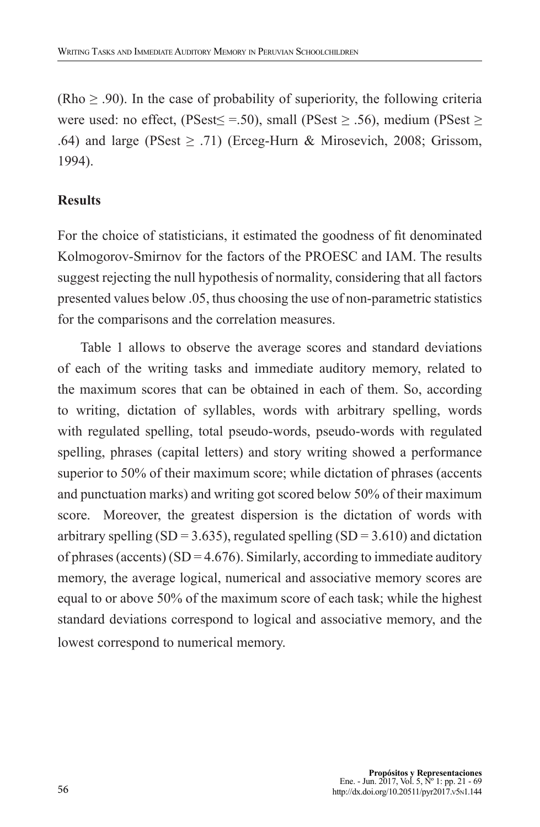$(Rho \ge .90)$ . In the case of probability of superiority, the following criteria were used: no effect, (PSest $\le$  =.50), small (PSest  $\ge$  .56), medium (PSest  $\ge$ .64) and large (PSest  $\geq$  .71) (Erceg-Hurn & Mirosevich, 2008; Grissom, 1994).

#### **Results**

For the choice of statisticians, it estimated the goodness of fit denominated Kolmogorov-Smirnov for the factors of the PROESC and IAM. The results suggest rejecting the null hypothesis of normality, considering that all factors presented values below .05, thus choosing the use of non-parametric statistics for the comparisons and the correlation measures.

Table 1 allows to observe the average scores and standard deviations of each of the writing tasks and immediate auditory memory, related to the maximum scores that can be obtained in each of them. So, according to writing, dictation of syllables, words with arbitrary spelling, words with regulated spelling, total pseudo-words, pseudo-words with regulated spelling, phrases (capital letters) and story writing showed a performance superior to 50% of their maximum score; while dictation of phrases (accents and punctuation marks) and writing got scored below 50% of their maximum score. Moreover, the greatest dispersion is the dictation of words with arbitrary spelling  $(SD = 3.635)$ , regulated spelling  $(SD = 3.610)$  and dictation of phrases (accents)  $(SD = 4.676)$ . Similarly, according to immediate auditory memory, the average logical, numerical and associative memory scores are equal to or above 50% of the maximum score of each task; while the highest standard deviations correspond to logical and associative memory, and the lowest correspond to numerical memory.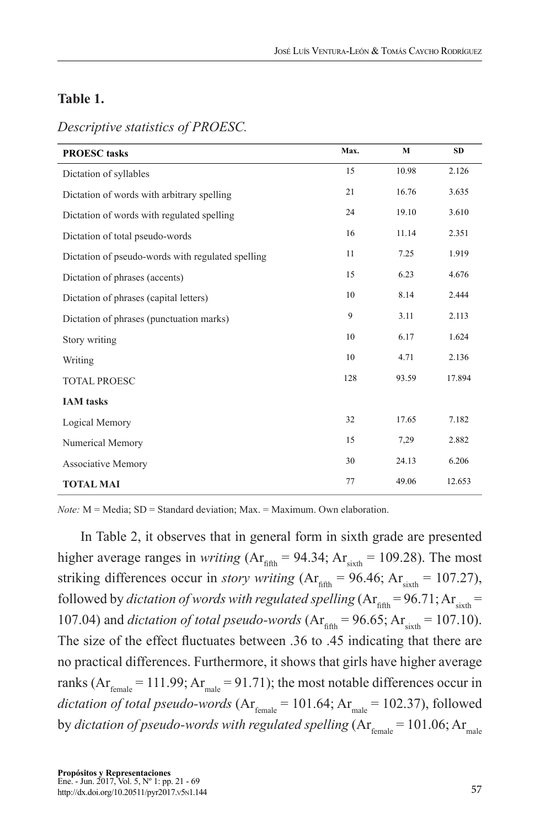# **Table 1.**

*Descriptive statistics of PROESC.*

| <b>PROESC</b> tasks                               | Max. | M     | <b>SD</b> |
|---------------------------------------------------|------|-------|-----------|
| Dictation of syllables                            | 15   | 10.98 | 2.126     |
| Dictation of words with arbitrary spelling        | 21   | 16.76 | 3.635     |
| Dictation of words with regulated spelling        | 24   | 19.10 | 3.610     |
| Dictation of total pseudo-words                   | 16   | 11.14 | 2.351     |
| Dictation of pseudo-words with regulated spelling | 11   | 7.25  | 1.919     |
| Dictation of phrases (accents)                    | 15   | 6.23  | 4.676     |
| Dictation of phrases (capital letters)            | 10   | 8.14  | 2.444     |
| Dictation of phrases (punctuation marks)          | 9    | 3.11  | 2.113     |
| Story writing                                     | 10   | 6.17  | 1.624     |
| Writing                                           | 10   | 4.71  | 2.136     |
| <b>TOTAL PROESC</b>                               | 128  | 93.59 | 17.894    |
| <b>IAM</b> tasks                                  |      |       |           |
| Logical Memory                                    | 32   | 17.65 | 7.182     |
| Numerical Memory                                  | 15   | 7,29  | 2.882     |
| Associative Memory                                | 30   | 24.13 | 6.206     |
| <b>TOTAL MAI</b>                                  | 77   | 49.06 | 12.653    |

*Note:* M = Media; SD = Standard deviation; Max. = Maximum. Own elaboration.

In Table 2, it observes that in general form in sixth grade are presented higher average ranges in *writing* ( $Ar_{\text{fith}} = 94.34$ ;  $Ar_{\text{sixth}} = 109.28$ ). The most striking differences occur in *story writing* ( $Ar<sub>fith</sub> = 96.46$ ;  $Ar<sub>sixth</sub> = 107.27$ ), followed by *dictation of words with regulated spelling*  $(Ar_{\text{fith}} = 96.71; Ar_{\text{sirth}}$ 107.04) and *dictation of total pseudo-words* ( $Ar<sub>fith</sub> = 96.65$ ;  $Ar<sub>sixth</sub> = 107.10$ ). The size of the effect fluctuates between .36 to .45 indicating that there are no practical differences. Furthermore, it shows that girls have higher average ranks ( $Ar_{\text{female}} = 111.99$ ;  $Ar_{\text{male}} = 91.71$ ); the most notable differences occur in *dictation of total pseudo-words*  $(Ar_{female} = 101.64; Ar_{male} = 102.37)$ , followed by *dictation of pseudo-words with regulated spelling*  $(Ar_{f_{\text{female}}} = 101.06; Ar_{\text{male}})$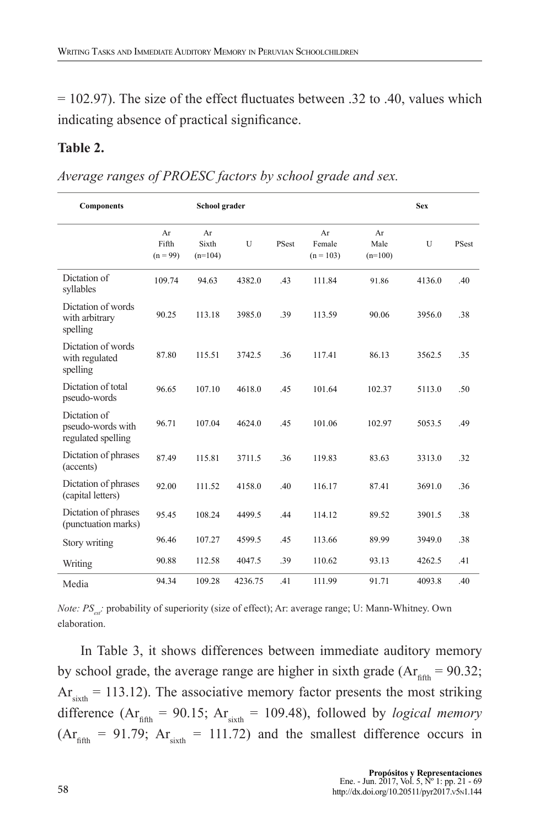$= 102.97$ ). The size of the effect fluctuates between .32 to .40, values which indicating absence of practical significance.

#### **Table 2.**

*Average ranges of PROESC factors by school grade and sex.*

| Components                                              |                           | School grader            |         |       |                             |                         | <b>Sex</b> |       |
|---------------------------------------------------------|---------------------------|--------------------------|---------|-------|-----------------------------|-------------------------|------------|-------|
|                                                         | Ar<br>Fifth<br>$(n = 99)$ | Ar<br>Sixth<br>$(n=104)$ | U       | PSest | Ar<br>Female<br>$(n = 103)$ | Ar<br>Male<br>$(n=100)$ | U          | PSest |
| Dictation of<br>syllables                               | 109.74                    | 94.63                    | 4382.0  | .43   | 111.84                      | 91.86                   | 4136.0     | .40   |
| Dictation of words<br>with arbitrary<br>spelling        | 90.25                     | 113.18                   | 3985.0  | .39   | 113.59                      | 90.06                   | 3956.0     | .38   |
| Dictation of words<br>with regulated<br>spelling        | 87.80                     | 115.51                   | 3742.5  | .36   | 117.41                      | 86.13                   | 3562.5     | .35   |
| Dictation of total<br>pseudo-words                      | 96.65                     | 107.10                   | 4618.0  | .45   | 101.64                      | 102.37                  | 5113.0     | .50   |
| Dictation of<br>pseudo-words with<br>regulated spelling | 96.71                     | 107.04                   | 4624.0  | .45   | 101.06                      | 102.97                  | 5053.5     | .49   |
| Dictation of phrases<br>(accents)                       | 87.49                     | 115.81                   | 3711.5  | .36   | 119.83                      | 83.63                   | 3313.0     | .32   |
| Dictation of phrases<br>(capital letters)               | 92.00                     | 111.52                   | 4158.0  | .40   | 116.17                      | 87.41                   | 3691.0     | .36   |
| Dictation of phrases<br>(punctuation marks)             | 95.45                     | 108.24                   | 4499.5  | .44   | 114.12                      | 89.52                   | 3901.5     | .38   |
| Story writing                                           | 96.46                     | 107.27                   | 4599.5  | .45   | 113.66                      | 89.99                   | 3949.0     | .38   |
| Writing                                                 | 90.88                     | 112.58                   | 4047.5  | .39   | 110.62                      | 93.13                   | 4262.5     | .41   |
| Media                                                   | 94.34                     | 109.28                   | 4236.75 | .41   | 111.99                      | 91.71                   | 4093.8     | .40   |

*Note: PS<sub>sss</sub>:* probability of superiority (size of effect); Ar: average range; U: Mann-Whitney. Own elaboration.

In Table 3, it shows differences between immediate auditory memory by school grade, the average range are higher in sixth grade  $(Ar_{\text{fth}} = 90.32;$  $Ar<sub>sixth</sub> = 113.12$ . The associative memory factor presents the most striking difference ( $Ar_{\text{fith}} = 90.15$ ;  $Ar_{\text{sixth}} = 109.48$ ), followed by *logical memory*  $(Ar<sub>film</sub> = 91.79; Ar<sub>sixth</sub> = 111.72)$  and the smallest difference occurs in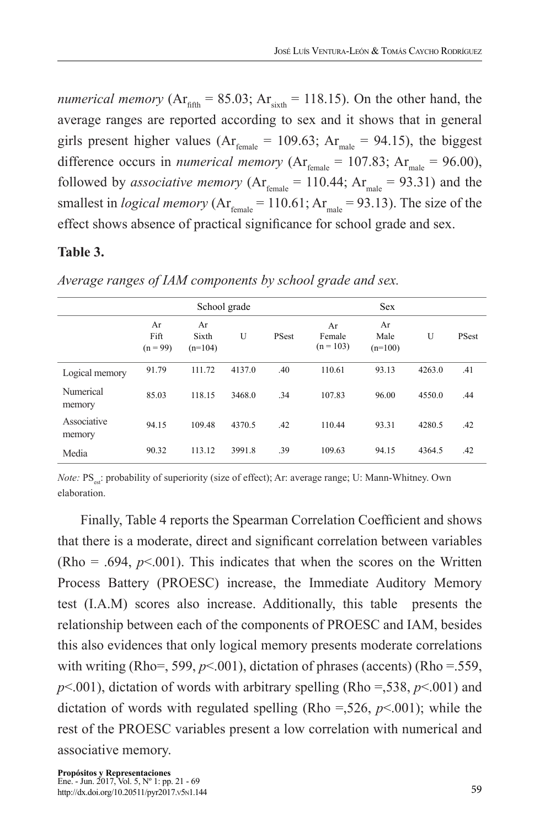*numerical memory*  $(Ar_{\text{cm}} = 85.03; Ar_{\text{sirth}} = 118.15)$ . On the other hand, the average ranges are reported according to sex and it shows that in general girls present higher values ( $Ar_{f_{\text{sample}}} = 109.63$ ;  $Ar_{\text{male}} = 94.15$ ), the biggest difference occurs in *numerical memory* ( $Ar_{\text{frunk}} = 107.83$ ;  $Ar_{\text{mals}} = 96.00$ ), followed by *associative memory* ( $Ar_{\text{female}} = 110.44$ ;  $Ar_{\text{male}} = 93.31$ ) and the smallest in *logical memory* ( $Ar_{\text{female}} = 110.61$ ;  $Ar_{\text{male}} = 93.13$ ). The size of the effect shows absence of practical significance for school grade and sex.

### **Table 3.**

|                       | School grade             |                          |        | <b>Sex</b> |                             |                         |        |       |
|-----------------------|--------------------------|--------------------------|--------|------------|-----------------------------|-------------------------|--------|-------|
|                       | Ar<br>Fift<br>$(n = 99)$ | Ar<br>Sixth<br>$(n=104)$ | U      | PSest      | Ar<br>Female<br>$(n = 103)$ | Ar<br>Male<br>$(n=100)$ | U      | PSest |
| Logical memory        | 91.79                    | 111.72                   | 4137.0 | .40        | 110.61                      | 93.13                   | 4263.0 | .41   |
| Numerical<br>memory   | 85.03                    | 118.15                   | 3468.0 | .34        | 107.83                      | 96.00                   | 4550.0 | .44   |
| Associative<br>memory | 94.15                    | 109.48                   | 4370.5 | .42        | 110.44                      | 93.31                   | 4280.5 | .42   |
| Media                 | 90.32                    | 113.12                   | 3991.8 | .39        | 109.63                      | 94.15                   | 4364.5 | .42   |

*Average ranges of IAM components by school grade and sex.*

*Note:*  $PS_{\text{av}}$ : probability of superiority (size of effect); Ar: average range; U: Mann-Whitney. Own elaboration.

Finally, Table 4 reports the Spearman Correlation Coefficient and shows that there is a moderate, direct and significant correlation between variables (Rho = .694,  $p$ <.001). This indicates that when the scores on the Written Process Battery (PROESC) increase, the Immediate Auditory Memory test (I.A.M) scores also increase. Additionally, this table presents the relationship between each of the components of PROESC and IAM, besides this also evidences that only logical memory presents moderate correlations with writing (Rho=, 599,  $p$ <.001), dictation of phrases (accents) (Rho =.559, *p*<.001), dictation of words with arbitrary spelling (Rho =,538, *p*<.001) and dictation of words with regulated spelling (Rho  $=$ ,526,  $p$ <.001); while the rest of the PROESC variables present a low correlation with numerical and associative memory.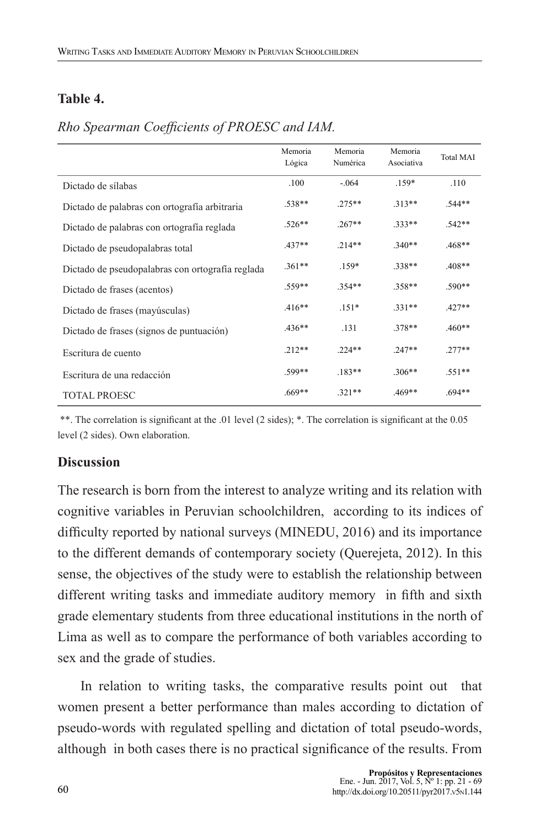# **Table 4.**

|                                                  | Memoria<br>Lógica | Memoria<br>Numérica | Memoria<br>Asociativa | <b>Total MAI</b> |
|--------------------------------------------------|-------------------|---------------------|-----------------------|------------------|
| Dictado de sílabas                               | .100              | $-064$              | $.159*$               | .110             |
| Dictado de palabras con ortografía arbitraria    | $.538**$          | $.275**$            | $.313**$              | $.544**$         |
| Dictado de palabras con ortografía reglada       | $.526**$          | $.267**$            | $.333**$              | $.542**$         |
| Dictado de pseudopalabras total                  | $.437**$          | $.214**$            | $.340**$              | $.468**$         |
| Dictado de pseudopalabras con ortografía reglada | $.361**$          | $.159*$             | $.338**$              | $.408**$         |
| Dictado de frases (acentos)                      | $.559**$          | $.354**$            | $.358**$              | $.590**$         |
| Dictado de frases (mayúsculas)                   | $.416**$          | $.151*$             | $.331**$              | $.427**$         |
| Dictado de frases (signos de puntuación)         | $.436**$          | .131                | $.378**$              | $.460**$         |
| Escritura de cuento                              | $.212**$          | $224**$             | $.247**$              | $.277**$         |
| Escritura de una redacción                       | .599**            | $.183**$            | $.306**$              | $.551**$         |
| <b>TOTAL PROESC</b>                              | $.669**$          | $.321**$            | $.469**$              | $.694**$         |

#### *Rho Spearman Coefficients of PROESC and IAM.*

\*\*. The correlation is significant at the .01 level (2 sides); \*. The correlation is significant at the 0.05 level (2 sides). Own elaboration.

#### **Discussion**

The research is born from the interest to analyze writing and its relation with cognitive variables in Peruvian schoolchildren, according to its indices of difficulty reported by national surveys (MINEDU, 2016) and its importance to the different demands of contemporary society (Querejeta, 2012). In this sense, the objectives of the study were to establish the relationship between different writing tasks and immediate auditory memory in fifth and sixth grade elementary students from three educational institutions in the north of Lima as well as to compare the performance of both variables according to sex and the grade of studies.

In relation to writing tasks, the comparative results point out that women present a better performance than males according to dictation of pseudo-words with regulated spelling and dictation of total pseudo-words, although in both cases there is no practical significance of the results. From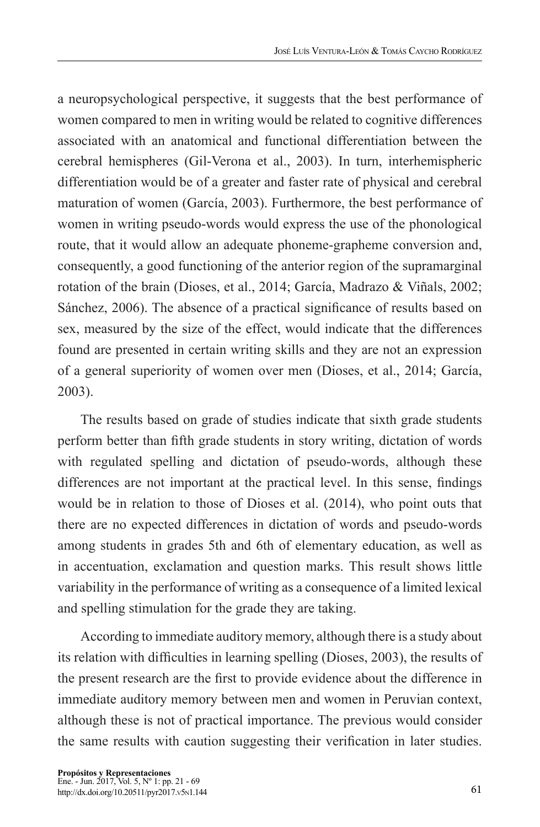a neuropsychological perspective, it suggests that the best performance of women compared to men in writing would be related to cognitive differences associated with an anatomical and functional differentiation between the cerebral hemispheres (Gil-Verona et al., 2003). In turn, interhemispheric differentiation would be of a greater and faster rate of physical and cerebral maturation of women (García, 2003). Furthermore, the best performance of women in writing pseudo-words would express the use of the phonological route, that it would allow an adequate phoneme-grapheme conversion and, consequently, a good functioning of the anterior region of the supramarginal rotation of the brain (Dioses, et al., 2014; García, Madrazo & Viñals, 2002; Sánchez, 2006). The absence of a practical significance of results based on sex, measured by the size of the effect, would indicate that the differences found are presented in certain writing skills and they are not an expression of a general superiority of women over men (Dioses, et al., 2014; García, 2003).

The results based on grade of studies indicate that sixth grade students perform better than fifth grade students in story writing, dictation of words with regulated spelling and dictation of pseudo-words, although these differences are not important at the practical level. In this sense, findings would be in relation to those of Dioses et al. (2014), who point outs that there are no expected differences in dictation of words and pseudo-words among students in grades 5th and 6th of elementary education, as well as in accentuation, exclamation and question marks. This result shows little variability in the performance of writing as a consequence of a limited lexical and spelling stimulation for the grade they are taking.

According to immediate auditory memory, although there is a study about its relation with difficulties in learning spelling (Dioses, 2003), the results of the present research are the first to provide evidence about the difference in immediate auditory memory between men and women in Peruvian context, although these is not of practical importance. The previous would consider the same results with caution suggesting their verification in later studies.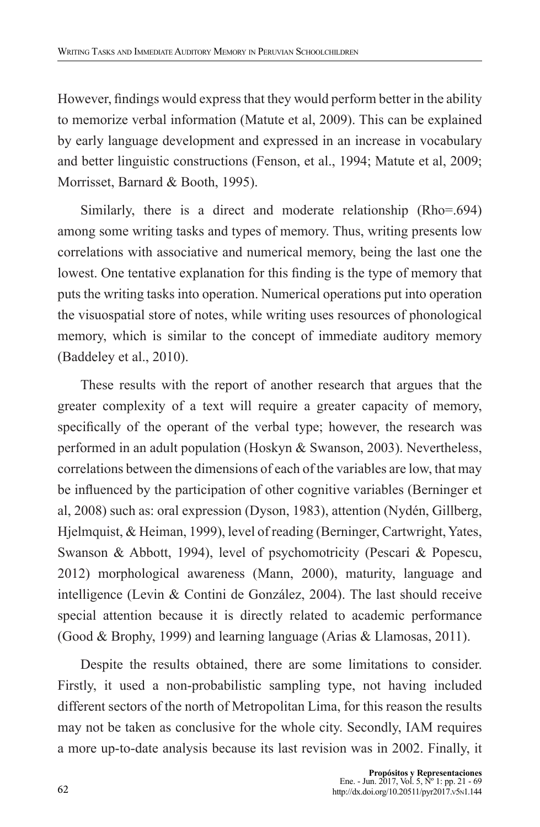However, findings would express that they would perform better in the ability to memorize verbal information (Matute et al, 2009). This can be explained by early language development and expressed in an increase in vocabulary and better linguistic constructions (Fenson, et al., 1994; Matute et al, 2009; Morrisset, Barnard & Booth, 1995).

Similarly, there is a direct and moderate relationship (Rho=.694) among some writing tasks and types of memory. Thus, writing presents low correlations with associative and numerical memory, being the last one the lowest. One tentative explanation for this finding is the type of memory that puts the writing tasks into operation. Numerical operations put into operation the visuospatial store of notes, while writing uses resources of phonological memory, which is similar to the concept of immediate auditory memory (Baddeley et al., 2010).

These results with the report of another research that argues that the greater complexity of a text will require a greater capacity of memory, specifically of the operant of the verbal type; however, the research was performed in an adult population (Hoskyn & Swanson, 2003). Nevertheless, correlations between the dimensions of each of the variables are low, that may be influenced by the participation of other cognitive variables (Berninger et al, 2008) such as: oral expression (Dyson, 1983), attention (Nydén, Gillberg, Hjelmquist, & Heiman, 1999), level of reading (Berninger, Cartwright, Yates, Swanson & Abbott, 1994), level of psychomotricity (Pescari & Popescu, 2012) morphological awareness (Mann, 2000), maturity, language and intelligence (Levin & Contini de González, 2004). The last should receive special attention because it is directly related to academic performance (Good & Brophy, 1999) and learning language (Arias & Llamosas, 2011).

Despite the results obtained, there are some limitations to consider. Firstly, it used a non-probabilistic sampling type, not having included different sectors of the north of Metropolitan Lima, for this reason the results may not be taken as conclusive for the whole city. Secondly, IAM requires a more up-to-date analysis because its last revision was in 2002. Finally, it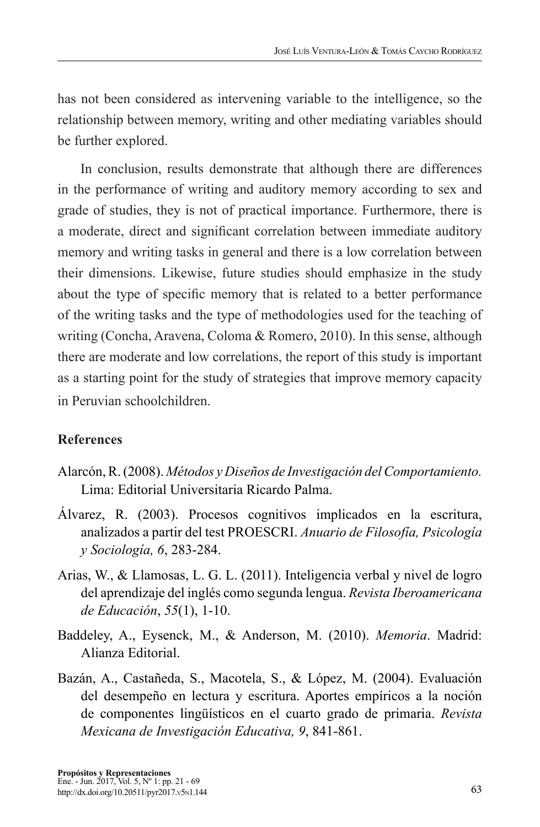has not been considered as intervening variable to the intelligence, so the relationship between memory, writing and other mediating variables should be further explored.

In conclusion, results demonstrate that although there are differences in the performance of writing and auditory memory according to sex and grade of studies, they is not of practical importance. Furthermore, there is a moderate, direct and significant correlation between immediate auditory memory and writing tasks in general and there is a low correlation between their dimensions. Likewise, future studies should emphasize in the study about the type of specific memory that is related to a better performance of the writing tasks and the type of methodologies used for the teaching of writing (Concha, Aravena, Coloma & Romero, 2010). In this sense, although there are moderate and low correlations, the report of this study is important as a starting point for the study of strategies that improve memory capacity in Peruvian schoolchildren.

#### **References**

- Alarcón, R. (2008). *Métodos y Diseños de Investigación del Comportamiento.* Lima: Editorial Universitaria Ricardo Palma.
- Álvarez, R. (2003). Procesos cognitivos implicados en la escritura, analizados a partir del test PROESCRI. *Anuario de Filosofía, Psicología y Sociología, 6*, 283-284.
- Arias, W., & Llamosas, L. G. L. (2011). Inteligencia verbal y nivel de logro del aprendizaje del inglés como segunda lengua. *Revista Iberoamericana de Educación*, *55*(1), 1-10.
- Baddeley, A., Eysenck, M., & Anderson, M. (2010). *Memoria*. Madrid: Alianza Editorial.
- Bazán, A., Castañeda, S., Macotela, S., & López, M. (2004). Evaluación del desempeño en lectura y escritura. Aportes empíricos a la noción de componentes lingüísticos en el cuarto grado de primaria. *Revista Mexicana de Investigación Educativa, 9*, 841-861.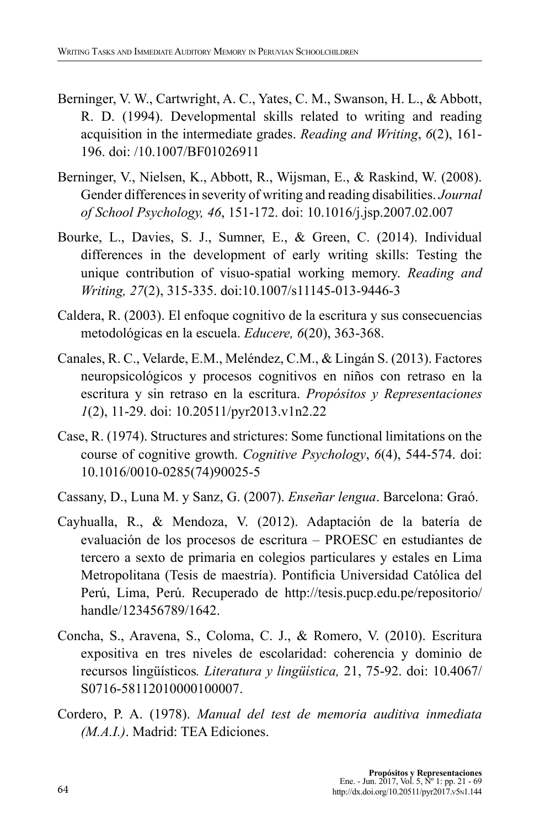- Berninger, V. W., Cartwright, A. C., Yates, C. M., Swanson, H. L., & Abbott, R. D. (1994). Developmental skills related to writing and reading acquisition in the intermediate grades. *Reading and Writing*, *6*(2), 161- 196. doi: /10.1007/BF01026911
- Berninger, V., Nielsen, K., Abbott, R., Wijsman, E., & Raskind, W. (2008). Gender differences in severity of writing and reading disabilities. *Journal of School Psychology, 46*, 151-172. doi: 10.1016/j.jsp.2007.02.007
- Bourke, L., Davies, S. J., Sumner, E., & Green, C. (2014). Individual differences in the development of early writing skills: Testing the unique contribution of visuo-spatial working memory. *Reading and Writing, 27*(2), 315-335. doi:10.1007/s11145-013-9446-3
- Caldera, R. (2003). El enfoque cognitivo de la escritura y sus consecuencias metodológicas en la escuela. *Educere, 6*(20), 363-368.
- Canales, R. C., Velarde, E.M., Meléndez, C.M., & Lingán S. (2013). Factores neuropsicológicos y procesos cognitivos en niños con retraso en la escritura y sin retraso en la escritura. *Propósitos y Representaciones 1*(2), 11-29. doi: 10.20511/pyr2013.v1n2.22
- Case, R. (1974). Structures and strictures: Some functional limitations on the course of cognitive growth. *Cognitive Psychology*, *6*(4), 544-574. doi: 10.1016/0010-0285(74)90025-5
- Cassany, D., Luna M. y Sanz, G. (2007). *Enseñar lengua*. Barcelona: Graó.
- Cayhualla, R., & Mendoza, V. (2012). Adaptación de la batería de evaluación de los procesos de escritura – PROESC en estudiantes de tercero a sexto de primaria en colegios particulares y estales en Lima Metropolitana (Tesis de maestría). Pontificia Universidad Católica del Perú, Lima, Perú. Recuperado de http://tesis.pucp.edu.pe/repositorio/ handle/123456789/1642.
- Concha, S., Aravena, S., Coloma, C. J., & Romero, V. (2010). Escritura expositiva en tres niveles de escolaridad: coherencia y dominio de recursos lingüísticos*. Literatura y lingüística,* 21, 75-92. doi: 10.4067/ S0716-58112010000100007.
- Cordero, P. A. (1978). *Manual del test de memoria auditiva inmediata (M.A.I.)*. Madrid: TEA Ediciones.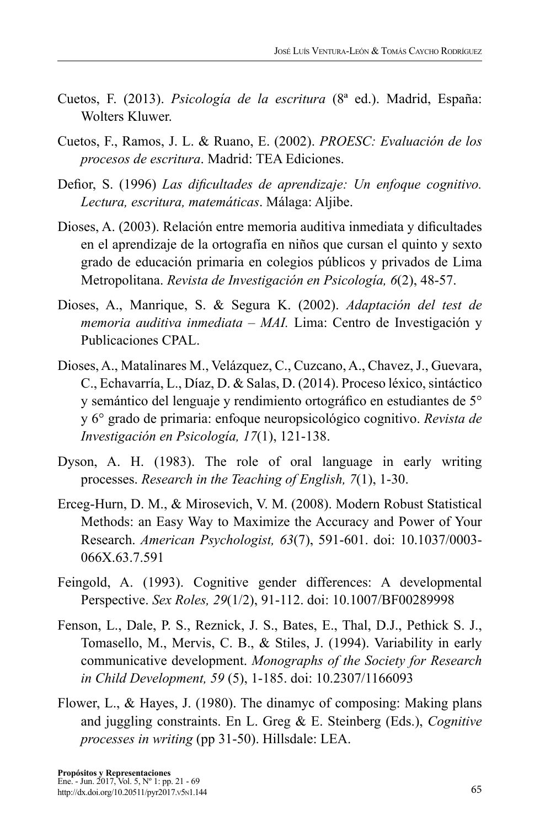- Cuetos, F. (2013). *Psicología de la escritura* (8ª ed.). Madrid, España: Wolters Kluwer.
- Cuetos, F., Ramos, J. L. & Ruano, E. (2002). *PROESC: Evaluación de los procesos de escritura*. Madrid: TEA Ediciones.
- Defior, S. (1996) *Las dificultades de aprendizaje: Un enfoque cognitivo. Lectura, escritura, matemáticas*. Málaga: Aljibe.
- Dioses, A. (2003). Relación entre memoria auditiva inmediata y dificultades en el aprendizaje de la ortografía en niños que cursan el quinto y sexto grado de educación primaria en colegios públicos y privados de Lima Metropolitana. *Revista de Investigación en Psicología, 6*(2), 48-57.
- Dioses, A., Manrique, S. & Segura K. (2002). *Adaptación del test de memoria auditiva inmediata – MAI.* Lima: Centro de Investigación y Publicaciones CPAL.
- Dioses, A., Matalinares M., Velázquez, C., Cuzcano, A., Chavez, J., Guevara, C., Echavarría, L., Díaz, D. & Salas, D. (2014). Proceso léxico, sintáctico y semántico del lenguaje y rendimiento ortográfico en estudiantes de 5° y 6° grado de primaria: enfoque neuropsicológico cognitivo. *Revista de Investigación en Psicología, 17*(1), 121-138.
- Dyson, A. H. (1983). The role of oral language in early writing processes. *Research in the Teaching of English, 7*(1), 1-30.
- Erceg-Hurn, D. M., & Mirosevich, V. M. (2008). Modern Robust Statistical Methods: an Easy Way to Maximize the Accuracy and Power of Your Research. *American Psychologist, 63*(7), 591-601. doi: 10.1037/0003- 066X.63.7.591
- Feingold, A. (1993). Cognitive gender differences: A developmental Perspective. *Sex Roles, 29*(1/2), 91-112. doi: 10.1007/BF00289998
- Fenson, L., Dale, P. S., Reznick, J. S., Bates, E., Thal, D.J., Pethick S. J., Tomasello, M., Mervis, C. B., & Stiles, J. (1994). Variability in early communicative development. *Monographs of the Society for Research in Child Development, 59* (5), 1-185. doi: 10.2307/1166093
- Flower, L., & Hayes, J. (1980). The dinamyc of composing: Making plans and juggling constraints. En L. Greg & E. Steinberg (Eds.), *Cognitive processes in writing* (pp 31-50). Hillsdale: LEA.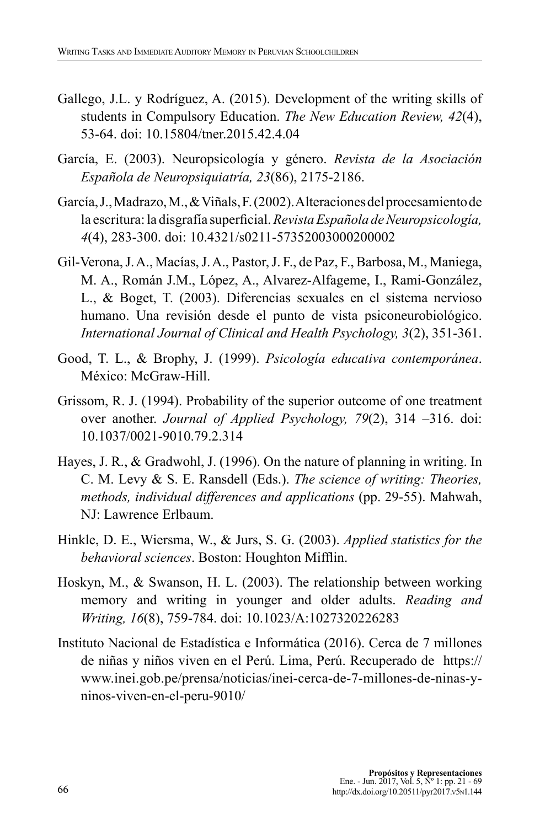- Gallego, J.L. y Rodríguez, A. (2015). Development of the writing skills of students in Compulsory Education. *The New Education Review, 42*(4), 53-64. doi: 10.15804/tner.2015.42.4.04
- García, E. (2003). Neuropsicología y género. *Revista de la Asociación Española de Neuropsiquiatría, 23*(86), 2175-2186.
- García, J., Madrazo, M., & Viñals, F. (2002). Alteraciones del procesamiento de la escritura: la disgrafía superficial. *Revista Española de Neuropsicología, 4*(4), 283-300. doi: 10.4321/s0211-57352003000200002
- Gil-Verona, J. A., Macías, J. A., Pastor, J. F., de Paz, F., Barbosa, M., Maniega, M. A., Román J.M., López, A., Alvarez-Alfageme, I., Rami-González, L., & Boget, T. (2003). Diferencias sexuales en el sistema nervioso humano. Una revisión desde el punto de vista psiconeurobiológico. *International Journal of Clinical and Health Psychology, 3*(2), 351-361.
- Good, T. L., & Brophy, J. (1999). *Psicología educativa contemporánea*. México: McGraw-Hill.
- Grissom, R. J. (1994). Probability of the superior outcome of one treatment over another. *Journal of Applied Psychology, 79*(2), 314 –316. doi: 10.1037/0021-9010.79.2.314
- Hayes, J. R., & Gradwohl, J. (1996). On the nature of planning in writing. In C. M. Levy & S. E. Ransdell (Eds.). *The science of writing: Theories, methods, individual differences and applications* (pp. 29-55). Mahwah, NJ: Lawrence Erlbaum.
- Hinkle, D. E., Wiersma, W., & Jurs, S. G. (2003). *Applied statistics for the behavioral sciences*. Boston: Houghton Mifflin.
- Hoskyn, M., & Swanson, H. L. (2003). The relationship between working memory and writing in younger and older adults. *Reading and Writing, 16*(8), 759-784. doi: 10.1023/A:1027320226283
- Instituto Nacional de Estadística e Informática (2016). Cerca de 7 millones de niñas y niños viven en el Perú. Lima, Perú. Recuperado de https:// www.inei.gob.pe/prensa/noticias/inei-cerca-de-7-millones-de-ninas-yninos-viven-en-el-peru-9010/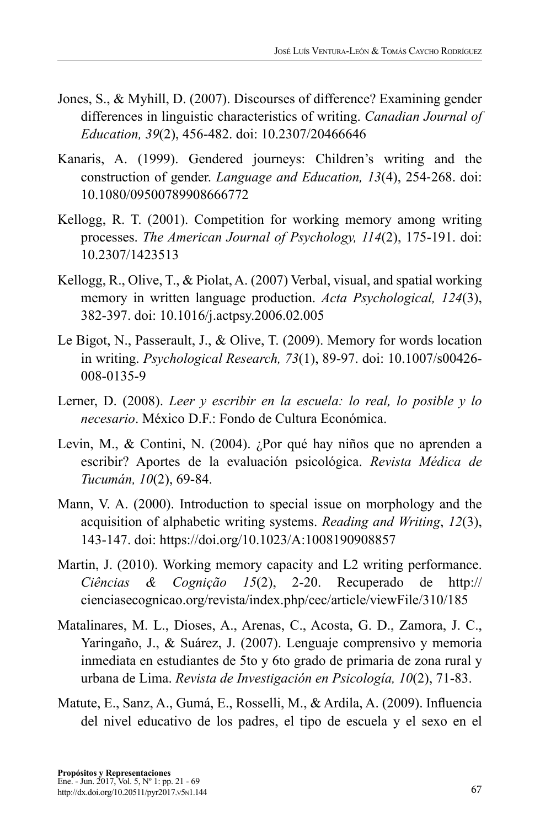- Jones, S., & Myhill, D. (2007). Discourses of difference? Examining gender differences in linguistic characteristics of writing. *Canadian Journal of Education, 39*(2), 456-482. doi: 10.2307/20466646
- Kanaris, A. (1999). Gendered journeys: Children's writing and the construction of gender. *Language and Education, 13*(4), 254‐268. doi: 10.1080/09500789908666772
- Kellogg, R. T. (2001). Competition for working memory among writing processes. *The American Journal of Psychology, 114*(2), 175-191. doi: 10.2307/1423513
- Kellogg, R., Olive, T., & Piolat, A. (2007) Verbal, visual, and spatial working memory in written language production. *Acta Psychological, 124*(3), 382-397. doi: 10.1016/j.actpsy.2006.02.005
- Le Bigot, N., Passerault, J., & Olive, T. (2009). Memory for words location in writing. *Psychological Research, 73*(1), 89-97. doi: 10.1007/s00426- 008-0135-9
- Lerner, D. (2008). *Leer y escribir en la escuela: lo real, lo posible y lo necesario*. México D.F.: Fondo de Cultura Económica.
- Levin, M., & Contini, N. (2004). ¿Por qué hay niños que no aprenden a escribir? Aportes de la evaluación psicológica. *Revista Médica de Tucumán, 10*(2), 69-84.
- Mann, V. A. (2000). Introduction to special issue on morphology and the acquisition of alphabetic writing systems. *Reading and Writing*, *12*(3), 143-147. doi: https://doi.org/10.1023/A:1008190908857
- Martin, J. (2010). Working memory capacity and L2 writing performance. *Ciências & Cognição 15*(2), 2-20. Recuperado de http:// cienciasecognicao.org/revista/index.php/cec/article/viewFile/310/185
- Matalinares, M. L., Dioses, A., Arenas, C., Acosta, G. D., Zamora, J. C., Yaringaño, J., & Suárez, J. (2007). Lenguaje comprensivo y memoria inmediata en estudiantes de 5to y 6to grado de primaria de zona rural y urbana de Lima. *Revista de Investigación en Psicología, 10*(2), 71-83.
- Matute, E., Sanz, A., Gumá, E., Rosselli, M., & Ardila, A. (2009). Influencia del nivel educativo de los padres, el tipo de escuela y el sexo en el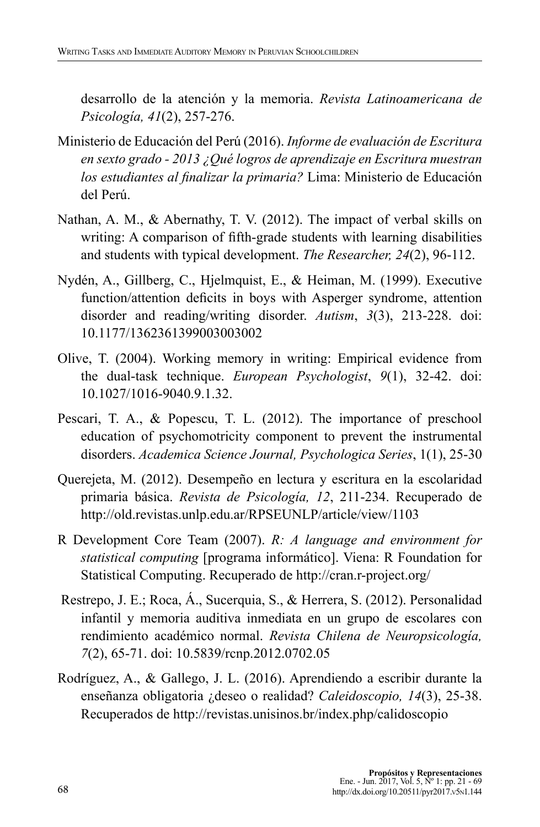desarrollo de la atención y la memoria. *Revista Latinoamericana de Psicología, 41*(2), 257-276.

- Ministerio de Educación del Perú (2016). *Informe de evaluación de Escritura en sexto grado - 2013 ¿Qué logros de aprendizaje en Escritura muestran los estudiantes al finalizar la primaria?* Lima: Ministerio de Educación del Perú.
- Nathan, A. M., & Abernathy, T. V. (2012). The impact of verbal skills on writing: A comparison of fifth-grade students with learning disabilities and students with typical development. *The Researcher, 24*(2), 96-112.
- Nydén, A., Gillberg, C., Hjelmquist, E., & Heiman, M. (1999). Executive function/attention deficits in boys with Asperger syndrome, attention disorder and reading/writing disorder. *Autism*, *3*(3), 213-228. doi: 10.1177/1362361399003003002
- Olive, T. (2004). Working memory in writing: Empirical evidence from the dual-task technique. *European Psychologist*, *9*(1), 32-42. doi: 10.1027/1016-9040.9.1.32.
- Pescari, T. A., & Popescu, T. L. (2012). The importance of preschool education of psychomotricity component to prevent the instrumental disorders. *Academica Science Journal, Psychologica Series*, 1(1), 25-30
- Querejeta, M. (2012). Desempeño en lectura y escritura en la escolaridad primaria básica. *Revista de Psicología, 12*, 211-234. Recuperado de http://old.revistas.unlp.edu.ar/RPSEUNLP/article/view/1103
- R Development Core Team (2007). *R: A language and environment for statistical computing* [programa informático]. Viena: R Foundation for Statistical Computing. Recuperado de http://cran.r-project.org/
- Restrepo, J. E.; Roca, Á., Sucerquia, S., & Herrera, S. (2012). Personalidad infantil y memoria auditiva inmediata en un grupo de escolares con rendimiento académico normal. *Revista Chilena de Neuropsicología, 7*(2), 65-71. doi: 10.5839/rcnp.2012.0702.05
- Rodríguez, A., & Gallego, J. L. (2016). Aprendiendo a escribir durante la enseñanza obligatoria ¿deseo o realidad? *Caleidoscopio, 14*(3), 25-38. Recuperados de http://revistas.unisinos.br/index.php/calidoscopio